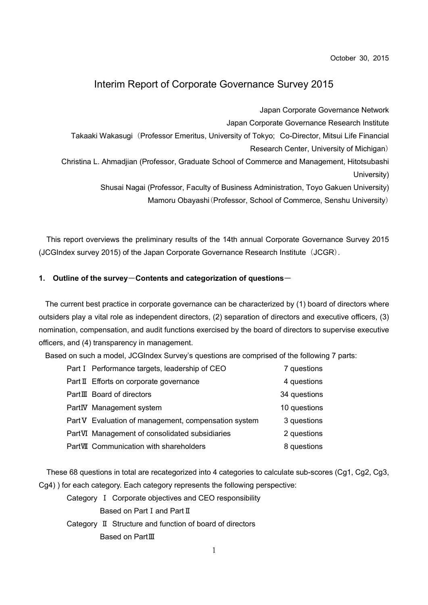October 30, 2015

### Interim Report of Corporate Governance Survey 2015

Japan Corporate Governance Network

Japan Corporate Governance Research Institute

Takaaki Wakasugi (Professor Emeritus, University of Tokyo; Co-Director, Mitsui Life Financial

Research Center, University of Michigan)

Christina L. Ahmadjian (Professor, Graduate School of Commerce and Management, Hitotsubashi University)

Shusai Nagai (Professor, Faculty of Business Administration, Toyo Gakuen University)

Mamoru Obayashi(Professor, School of Commerce, Senshu University)

This report overviews the preliminary results of the 14th annual Corporate Governance Survey 2015 (JCGIndex survey 2015) of the Japan Corporate Governance Research Institute (JCGR).

### 1. Outline of the survey-Contents and categorization of questions-

The current best practice in corporate governance can be characterized by (1) board of directors where outsiders play a vital role as independent directors, (2) separation of directors and executive officers, (3) nomination, compensation, and audit functions exercised by the board of directors to supervise executive officers, and (4) transparency in management.

Based on such a model, JCGIndex Survey's questions are comprised of the following 7 parts:

| Part I Performance targets, leadership of CEO        | 7 questions  |
|------------------------------------------------------|--------------|
| Part II Efforts on corporate governance              | 4 questions  |
| PartIII Board of directors                           | 34 questions |
| PartIV Management system                             | 10 questions |
| Part V Evaluation of management, compensation system | 3 questions  |
| PartVI Management of consolidated subsidiaries       | 2 questions  |
| PartVII Communication with shareholders              | 8 questions  |

These 68 questions in total are recategorized into 4 categories to calculate sub-scores (Cg1, Cg2, Cg3, Cg4) ) for each category. Each category represents the following perspective:

- Category Ⅰ Corporate objectives and CEO responsibility Based on Part Ⅰ and Part Ⅱ
- Category Ⅱ Structure and function of board of directors Based on PartⅢ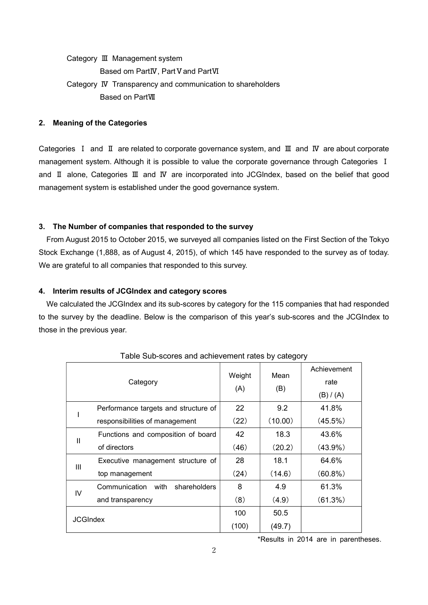Category Ⅲ Management system Based om PartIV, Part V and PartVI Category Ⅳ Transparency and communication to shareholders Based on PartⅦ

#### 2. Meaning of the Categories

Categories Ⅰ and Ⅱ are related to corporate governance system, and Ⅲ and Ⅳ are about corporate management system. Although it is possible to value the corporate governance through Categories Ⅰ and Ⅱ alone, Categories Ⅲ and Ⅳ are incorporated into JCGIndex, based on the belief that good management system is established under the good governance system.

### 3. The Number of companies that responded to the survey

From August 2015 to October 2015, we surveyed all companies listed on the First Section of the Tokyo Stock Exchange (1,888, as of August 4, 2015), of which 145 have responded to the survey as of today. We are grateful to all companies that responded to this survey.

### 4. Interim results of JCGIndex and category scores

We calculated the JCGIndex and its sub-scores by category for the 115 companies that had responded to the survey by the deadline. Below is the comparison of this year's sub-scores and the JCGIndex to those in the previous year.

| Category        |                                      | Weight<br>(A) | Mean<br>(B) | Achievement |
|-----------------|--------------------------------------|---------------|-------------|-------------|
|                 |                                      |               |             | rate        |
|                 |                                      |               |             | (B) / (A)   |
|                 | Performance targets and structure of | 22            | 9.2         | 41.8%       |
|                 | responsibilities of management       | (22)          | (10.00)     | (45.5%)     |
| $\mathbf{I}$    | Functions and composition of board   | 42            | 18.3        | 43.6%       |
|                 | of directors                         | (46)          | (20.2)      | $(43.9\%)$  |
| Ш               | Executive management structure of    | 28            | 18.1        | 64.6%       |
|                 | top management                       | (24)          | (14.6)      | $(60.8\%)$  |
| IV              | Communication with<br>shareholders   | 8             | 4.9         | 61.3%       |
|                 | and transparency                     | (8)           | (4.9)       | (61.3%)     |
| <b>JCGIndex</b> |                                      | 100           | 50.5        |             |
|                 |                                      | (100)         | (49.7)      |             |

Table Sub-scores and achievement rates by category

\*Results in 2014 are in parentheses.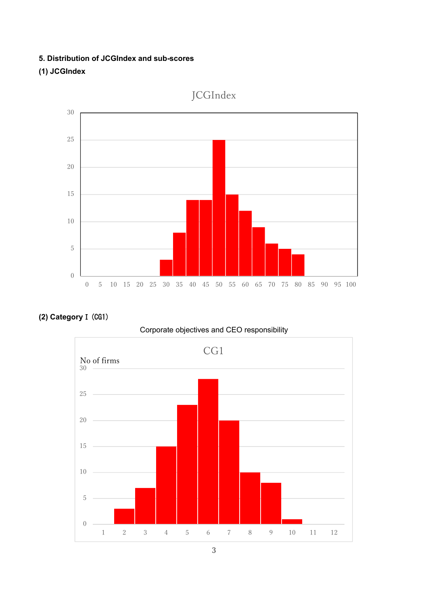### 5. Distribution of JCGIndex and sub-scores

## (1) JCGIndex







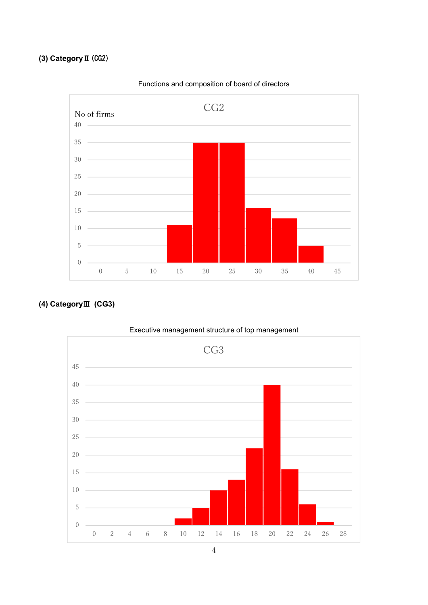# (3) CategoryⅡ(CG2)



Functions and composition of board of directors

## (4) CategoryⅢ (CG3)



Executive management structure of top management